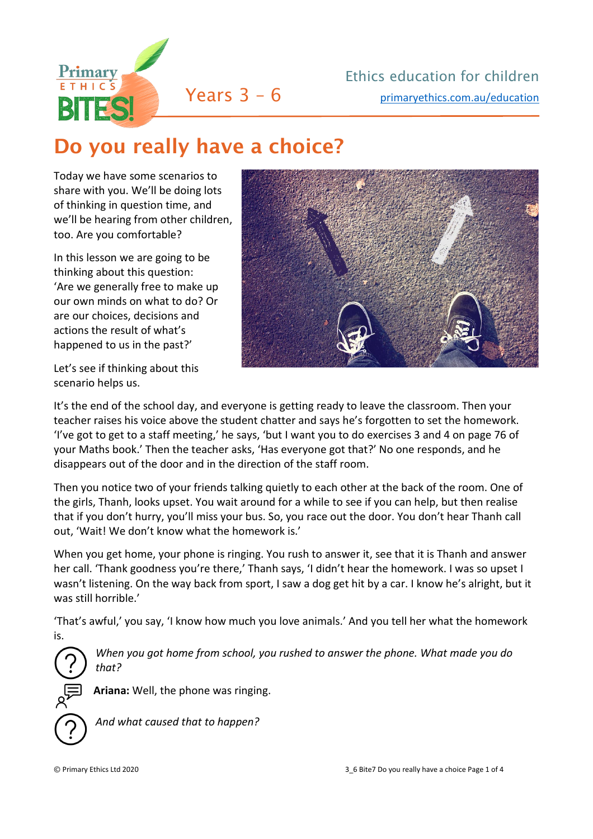

## Do you really have a choice?

Today we have some scenarios to share with you. We'll be doing lots of thinking in question time, and we'll be hearing from other children, too. Are you comfortable?

In this lesson we are going to be thinking about this question: 'Are we generally free to make up our own minds on what to do? Or are our choices, decisions and actions the result of what's happened to us in the past?'

Let's see if thinking about this scenario helps us.

It's the end of the school day, and everyone is getting ready to leave the classroom. Then your teacher raises his voice above the student chatter and says he's forgotten to set the homework. 'I've got to get to a staff meeting,' he says, 'but I want you to do exercises 3 and 4 on page 76 of your Maths book.' Then the teacher asks, 'Has everyone got that?' No one responds, and he disappears out of the door and in the direction of the staff room.

Then you notice two of your friends talking quietly to each other at the back of the room. One of the girls, Thanh, looks upset. You wait around for a while to see if you can help, but then realise that if you don't hurry, you'll miss your bus. So, you race out the door. You don't hear Thanh call out, 'Wait! We don't know what the homework is.'

When you get home, your phone is ringing. You rush to answer it, see that it is Thanh and answer her call. 'Thank goodness you're there,' Thanh says, 'I didn't hear the homework. I was so upset I wasn't listening. On the way back from sport, I saw a dog get hit by a car. I know he's alright, but it was still horrible.'

'That's awful,' you say, 'I know how much you love animals.' And you tell her what the homework is.

*When you got home from school, you rushed to answer the phone. What made you do that?*

**Ariana:** Well, the phone was ringing.

*And what caused that to happen?*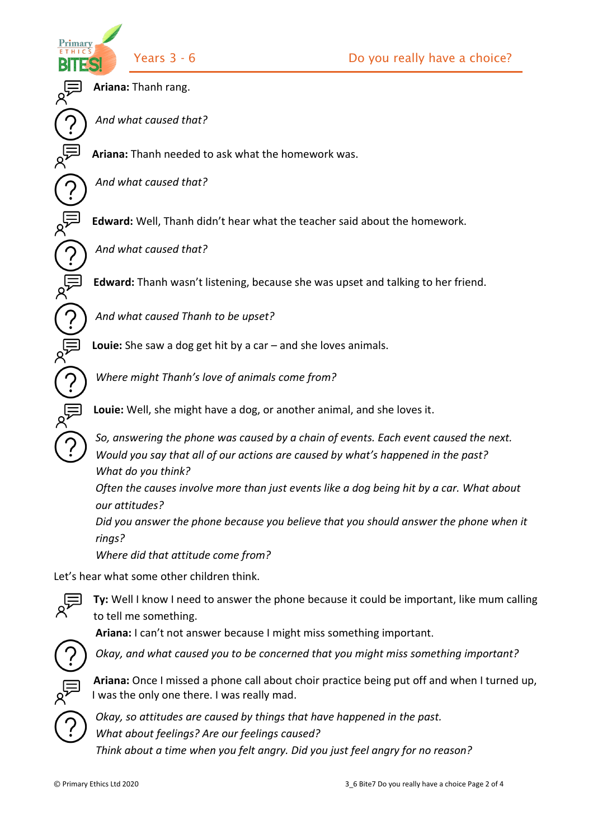Primary

 $\bigcirc$ 

**Ariana:** Thanh rang.

*And what caused that?*

**Ariana:** Thanh needed to ask what the homework was.

*And what caused that?*

**Edward:** Well, Thanh didn't hear what the teacher said about the homework.

*And what caused that?*

**Edward:** Thanh wasn't listening, because she was upset and talking to her friend.

*And what caused Thanh to be upset?*

**Louie:** She saw a dog get hit by a car – and she loves animals.

*Where might Thanh's love of animals come from?*

**Louie:** Well, she might have a dog, or another animal, and she loves it.

*So, answering the phone was caused by a chain of events. Each event caused the next. Would you say that all of our actions are caused by what's happened in the past? What do you think?*

*Often the causes involve more than just events like a dog being hit by a car. What about our attitudes?* 

*Did you answer the phone because you believe that you should answer the phone when it rings?* 

*Where did that attitude come from?*

Let's hear what some other children think.



**Ty:** Well I know I need to answer the phone because it could be important, like mum calling to tell me something.

**Ariana:** I can't not answer because I might miss something important.



*Okay, and what caused you to be concerned that you might miss something important?*



**Ariana:** Once I missed a phone call about choir practice being put off and when I turned up, I was the only one there. I was really mad.



*Okay, so attitudes are caused by things that have happened in the past. What about feelings? Are our feelings caused? Think about a time when you felt angry. Did you just feel angry for no reason?*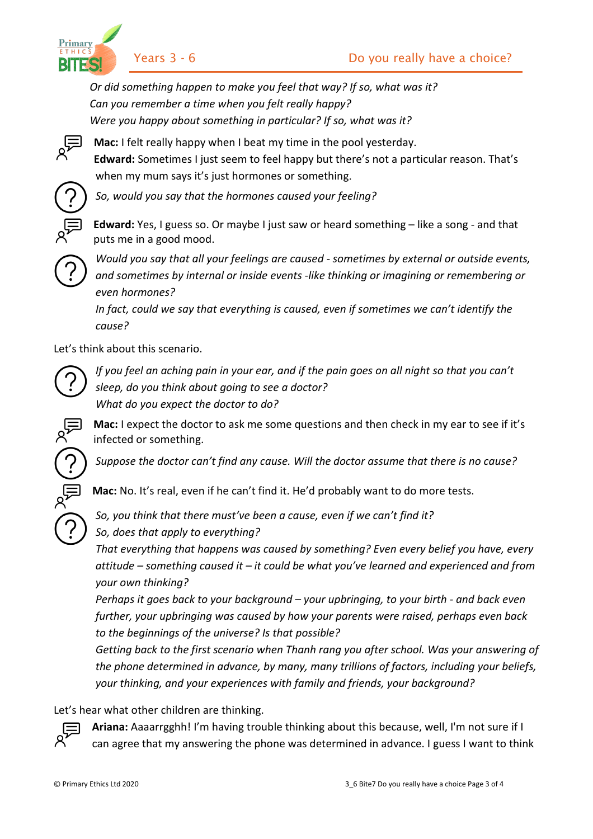Primary BITES

*Or did something happen to make you feel that way? If so, what was it? Can you remember a time when you felt really happy? Were you happy about something in particular? If so, what was it?*



**Mac:** I felt really happy when I beat my time in the pool yesterday. **Edward:** Sometimes I just seem to feel happy but there's not a particular reason. That's when my mum says it's just hormones or something.



*So, would you say that the hormones caused your feeling?*

**Edward:** Yes, I guess so. Or maybe I just saw or heard something – like a song - and that puts me in a good mood.



*Would you say that all your feelings are caused - sometimes by external or outside events, and sometimes by internal or inside events -like thinking or imagining or remembering or even hormones?*

*In fact, could we say that everything is caused, even if sometimes we can't identify the cause?* 

Let's think about this scenario.



*If you feel an aching pain in your ear, and if the pain goes on all night so that you can't sleep, do you think about going to see a doctor? What do you expect the doctor to do?*

**Mac:** I expect the doctor to ask me some questions and then check in my ear to see if it's infected or something.

*Suppose the doctor can't find any cause. Will the doctor assume that there is no cause?*

**Mac:** No. It's real, even if he can't find it. He'd probably want to do more tests.

*So, you think that there must've been a cause, even if we can't find it?*

*So, does that apply to everything?* 

*That everything that happens was caused by something? Even every belief you have, every attitude – something caused it – it could be what you've learned and experienced and from your own thinking?* 

*Perhaps it goes back to your background – your upbringing, to your birth - and back even further, your upbringing was caused by how your parents were raised, perhaps even back to the beginnings of the universe? Is that possible?*

*Getting back to the first scenario when Thanh rang you after school. Was your answering of the phone determined in advance, by many, many trillions of factors, including your beliefs, your thinking, and your experiences with family and friends, your background?*

Let's hear what other children are thinking.



**Ariana:** Aaaarrgghh! I'm having trouble thinking about this because, well, I'm not sure if I can agree that my answering the phone was determined in advance. I guess I want to think